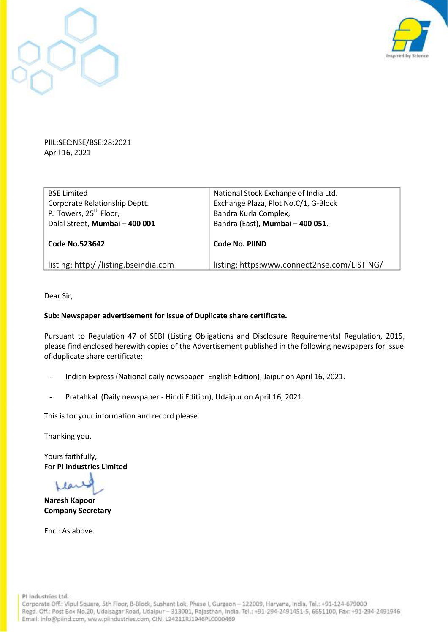



PIIL:SEC:NSE/BSE:28:2021 April 16, 2021

| <b>BSE Limited</b>                   | National Stock Exchange of India Ltd.       |  |
|--------------------------------------|---------------------------------------------|--|
| Corporate Relationship Deptt.        | Exchange Plaza, Plot No.C/1, G-Block        |  |
| PJ Towers, 25 <sup>th</sup> Floor,   | Bandra Kurla Complex,                       |  |
| Dalal Street, Mumbai - 400 001       | Bandra (East), Mumbai - 400 051.            |  |
|                                      |                                             |  |
| <b>Code No.523642</b>                | Code No. PIIND                              |  |
|                                      |                                             |  |
| listing: http://listing.bseindia.com | listing: https:www.connect2nse.com/LISTING/ |  |

Dear Sir,

#### **Sub: Newspaper advertisement for Issue of Duplicate share certificate.**

Pursuant to Regulation 47 of SEBI (Listing Obligations and Disclosure Requirements) Regulation, 2015, please find enclosed herewith copies of the Advertisement published in the following newspapers for issue of duplicate share certificate:

- Indian Express (National daily newspaper- English Edition), Jaipur on April 16, 2021.
- Pratahkal (Daily newspaper Hindi Edition), Udaipur on April 16, 2021.

This is for your information and record please.

Thanking you,

Yours faithfully, For **PI Industries Limited**

Llar

**Naresh Kapoor Company Secretary**

Encl: As above.

PI Industries Ltd.